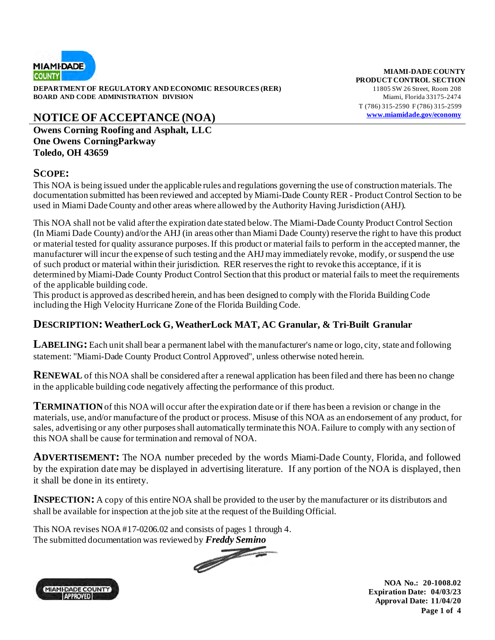

**DEPARTMENT OF REGULATORY AND ECONOMIC RESOURCES (RER)** 11805 SW 26 Street, Room 208 **BOARD AND CODE ADMINISTRATION DIVISION** Miami, Florida 33175-2474

## **NOTICE OF ACCEPTANCE (NOA) [www.miamidade.gov/economy](http://www.miamidade.gov/economy)**

**Owens Corning Roofing and Asphalt, LLC One Owens CorningParkway Toledo, OH 43659** 

#### **SCOPE:**

This NOA is being issued under the applicable rules and regulations governing the use of construction materials. The documentation submitted has been reviewed and accepted by Miami-Dade County RER - Product Control Section to be used in Miami Dade County and other areas where allowed by the Authority Having Jurisdiction (AHJ).

This NOA shall not be valid after the expiration date stated below. The Miami-Dade County Product Control Section (In Miami Dade County) and/or the AHJ (in areas other than Miami Dade County) reserve the right to have this product or material tested for quality assurance purposes. If this product or material fails to perform in the accepted manner, the manufacturer will incur the expense of such testing and the AHJ may immediately revoke, modify, or suspend the use of such product or material within their jurisdiction. RER reserves the right to revoke this acceptance, if it is determined by Miami-Dade County Product Control Section that this product or material fails to meet the requirements of the applicable building code.

This product is approved as described herein, and has been designed to comply with the Florida Building Code including the High Velocity Hurricane Zone of the Florida Building Code.

#### **DESCRIPTION: WeatherLock G, WeatherLock MAT, AC Granular, & Tri-Built Granular**

**LABELING:** Each unit shall bear a permanent label with the manufacturer's name or logo, city, state and following statement: "Miami-Dade County Product Control Approved", unless otherwise noted herein.

**RENEWAL** of this NOA shall be considered after a renewal application has been filed and there has been no change in the applicable building code negatively affecting the performance of this product.

**TERMINATION** of this NOA will occur after the expiration date or if there has been a revision or change in the materials, use, and/or manufacture of the product or process. Misuse of this NOA as an endorsement of any product, for sales, advertising or any other purposes shall automatically terminate this NOA. Failure to comply with any section of this NOA shall be cause for termination and removal of NOA.

**ADVERTISEMENT:** The NOA number preceded by the words Miami-Dade County, Florida, and followed by the expiration date may be displayed in advertising literature. If any portion of the NOA is displayed, then it shall be done in its entirety.

**INSPECTION:** A copy of this entire NOA shall be provided to the user by the manufacturer or its distributors and shall be available for inspection at the job site at the request of the Building Official.

This NOA revises NOA #17-0206.02 and consists of pages 1 through 4.





**NOA No.: 20-1008.02 Expiration Date: 04/03/23 Approval Date: 11/04/20 Page 1 of 4**

**MIAMI-DADE COUNTY PRODUCT CONTROL SECTION** T (786) 315-2590 F (786) 315-2599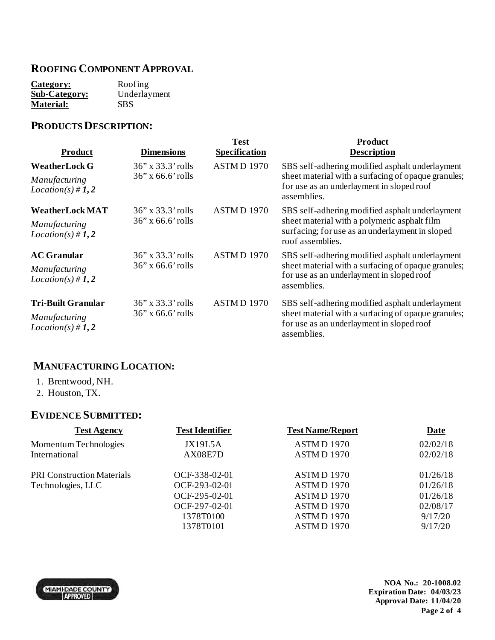### **ROOFING COMPONENT APPROVAL**

| Category:            | Roofing      |
|----------------------|--------------|
| <b>Sub-Category:</b> | Underlayment |
| <b>Material:</b>     | <b>SBS</b>   |

## **PRODUCTS DESCRIPTION:**

| <b>Product</b>                         | <b>Dimensions</b>                              | <b>Test</b><br><b>Specification</b> | <b>Product</b><br><b>Description</b>                                                                                                                                   |
|----------------------------------------|------------------------------------------------|-------------------------------------|------------------------------------------------------------------------------------------------------------------------------------------------------------------------|
| <b>WeatherLock G</b>                   | $36''$ x $33.3'$ rolls                         | ASTMD 1970                          | SBS self-adhering modified asphalt underlayment                                                                                                                        |
| Manufacturing<br>$Location(s) \# 1, 2$ | $36$ " x 66.6' rolls                           |                                     | sheet material with a surfacing of opaque granules;<br>for use as an underlayment in sloped roof<br>assemblies.                                                        |
| <b>WeatherLock MAT</b>                 | $36''$ x $33.3'$ rolls<br>$36''$ x 66.6' rolls | ASTMD 1970                          | SBS self-adhering modified asphalt underlayment<br>sheet material with a polymeric asphalt film<br>surfacing; for use as an underlayment in sloped<br>roof assemblies. |
| Manufacturing<br>$Location(s) \# 1, 2$ |                                                |                                     |                                                                                                                                                                        |
| <b>AC Granular</b>                     | $36''$ x $33.3'$ rolls<br>$36''$ x 66.6' rolls | ASTMD 1970                          | SBS self-adhering modified asphalt underlayment<br>sheet material with a surfacing of opaque granules;<br>for use as an underlayment in sloped roof<br>assemblies.     |
| Manufacturing<br>$Location(s) \# 1, 2$ |                                                |                                     |                                                                                                                                                                        |
| <b>Tri-Built Granular</b>              | $36''$ x $33.3'$ rolls                         | ASTMD 1970                          | SBS self-adhering modified asphalt underlayment                                                                                                                        |
| Manufacturing<br>$Location(s) \# 1, 2$ | $36$ " x 66.6' rolls                           |                                     | sheet material with a surfacing of opaque granules;<br>for use as an underlayment in sloped roof<br>assemblies.                                                        |

### **MANUFACTURING LOCATION:**

- 1. Brentwood, NH.
- 2. Houston, TX.

#### **EVIDENCE SUBMITTED:**

| <b>Test Agency</b>                | <b>Test Identifier</b> | <b>Test Name/Report</b> | Date     |
|-----------------------------------|------------------------|-------------------------|----------|
| Momentum Technologies             | JX19L5A                | ASTMD 1970              | 02/02/18 |
| International                     | AX08E7D                | ASTMD 1970              | 02/02/18 |
| <b>PRI Construction Materials</b> | OCF-338-02-01          | ASTMD 1970              | 01/26/18 |
| Technologies, LLC                 | OCF-293-02-01          | ASTMD 1970              | 01/26/18 |
|                                   | OCF-295-02-01          | ASTMD 1970              | 01/26/18 |
|                                   | OCF-297-02-01          | ASTMD 1970              | 02/08/17 |
|                                   | 1378T0100              | ASTMD 1970              | 9/17/20  |
|                                   | 1378T0101              | ASTMD 1970              | 9/17/20  |
|                                   |                        |                         |          |

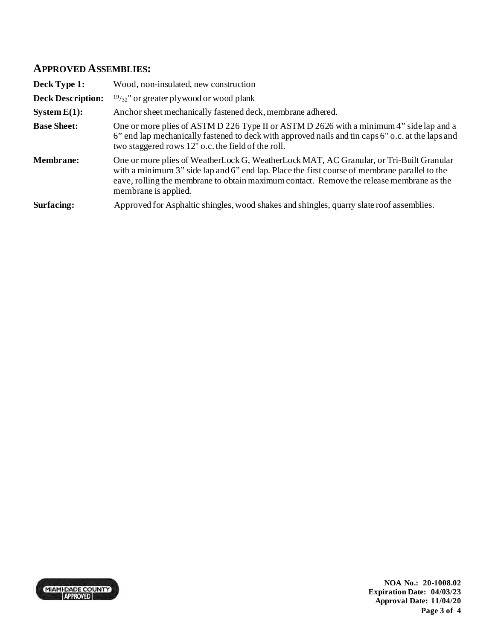#### **APPROVED ASSEMBLIES:**

| Deck Type 1:             | Wood, non-insulated, new construction                                                                                                                                                                                                                                                                        |
|--------------------------|--------------------------------------------------------------------------------------------------------------------------------------------------------------------------------------------------------------------------------------------------------------------------------------------------------------|
| <b>Deck Description:</b> | $19/32$ " or greater plywood or wood plank                                                                                                                                                                                                                                                                   |
| System $E(1)$ :          | Anchor sheet mechanically fastened deck, membrane adhered.                                                                                                                                                                                                                                                   |
| <b>Base Sheet:</b>       | One or more plies of ASTM D 226 Type II or ASTM D 2626 with a minimum 4" side lap and a<br>6" end lap mechanically fastened to deck with approved nails and tin caps 6" o.c. at the laps and<br>two staggered rows 12" o.c. the field of the roll.                                                           |
| <b>Membrane:</b>         | One or more plies of WeatherLock G, WeatherLock MAT, AC Granular, or Tri-Built Granular<br>with a minimum 3" side lap and 6" end lap. Place the first course of membrane parallel to the<br>eave, rolling the membrane to obtain maximum contact. Remove the release membrane as the<br>membrane is applied. |
| Surfacing:               | Approved for Asphaltic shingles, wood shakes and shingles, quarry slate roof assemblies.                                                                                                                                                                                                                     |



**NOA No.: 20-1008.02 Expiration Date: 04/03/23 Approval Date: 11/04/20 Page 3 of 4**